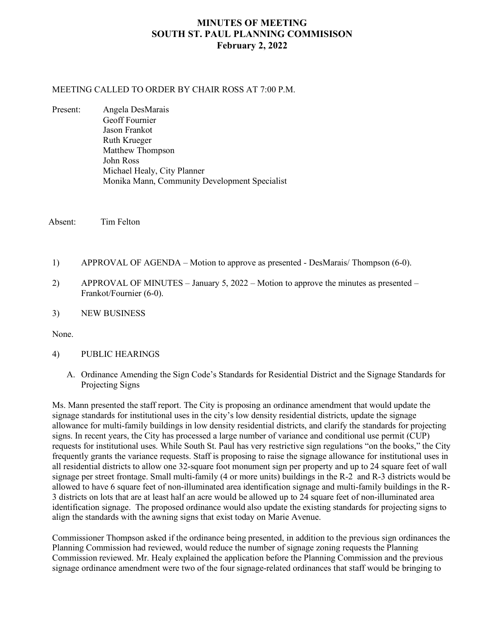# **MINUTES OF MEETING SOUTH ST. PAUL PLANNING COMMISISON February 2, 2022**

#### MEETING CALLED TO ORDER BY CHAIR ROSS AT 7:00 P.M.

Present: Angela DesMarais Geoff Fournier Jason Frankot Ruth Krueger Matthew Thompson John Ross Michael Healy, City Planner Monika Mann, Community Development Specialist

Absent: Tim Felton

- 1) APPROVAL OF AGENDA Motion to approve as presented DesMarais/ Thompson (6-0).
- 2) APPROVAL OF MINUTES January 5, 2022 Motion to approve the minutes as presented Frankot/Fournier (6-0).
- 3) NEW BUSINESS

None.

- 4) PUBLIC HEARINGS
	- A. Ordinance Amending the Sign Code's Standards for Residential District and the Signage Standards for Projecting Signs

Ms. Mann presented the staff report. The City is proposing an ordinance amendment that would update the signage standards for institutional uses in the city's low density residential districts, update the signage allowance for multi-family buildings in low density residential districts, and clarify the standards for projecting signs. In recent years, the City has processed a large number of variance and conditional use permit (CUP) requests for institutional uses. While South St. Paul has very restrictive sign regulations "on the books," the City frequently grants the variance requests. Staff is proposing to raise the signage allowance for institutional uses in all residential districts to allow one 32-square foot monument sign per property and up to 24 square feet of wall signage per street frontage. Small multi-family (4 or more units) buildings in the R-2 and R-3 districts would be allowed to have 6 square feet of non-illuminated area identification signage and multi-family buildings in the R-3 districts on lots that are at least half an acre would be allowed up to 24 square feet of non-illuminated area identification signage. The proposed ordinance would also update the existing standards for projecting signs to align the standards with the awning signs that exist today on Marie Avenue.

Commissioner Thompson asked if the ordinance being presented, in addition to the previous sign ordinances the Planning Commission had reviewed, would reduce the number of signage zoning requests the Planning Commission reviewed. Mr. Healy explained the application before the Planning Commission and the previous signage ordinance amendment were two of the four signage-related ordinances that staff would be bringing to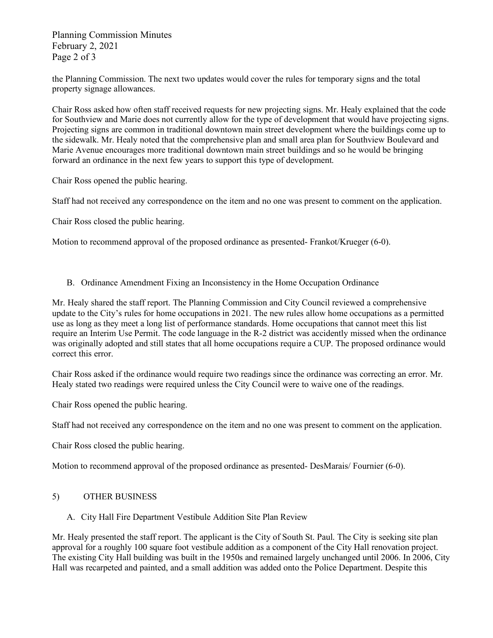Planning Commission Minutes February 2, 2021 Page 2 of 3

the Planning Commission. The next two updates would cover the rules for temporary signs and the total property signage allowances.

Chair Ross asked how often staff received requests for new projecting signs. Mr. Healy explained that the code for Southview and Marie does not currently allow for the type of development that would have projecting signs. Projecting signs are common in traditional downtown main street development where the buildings come up to the sidewalk. Mr. Healy noted that the comprehensive plan and small area plan for Southview Boulevard and Marie Avenue encourages more traditional downtown main street buildings and so he would be bringing forward an ordinance in the next few years to support this type of development.

Chair Ross opened the public hearing.

Staff had not received any correspondence on the item and no one was present to comment on the application.

Chair Ross closed the public hearing.

Motion to recommend approval of the proposed ordinance as presented- Frankot/Krueger (6-0).

### B. Ordinance Amendment Fixing an Inconsistency in the Home Occupation Ordinance

Mr. Healy shared the staff report. The Planning Commission and City Council reviewed a comprehensive update to the City's rules for home occupations in 2021. The new rules allow home occupations as a permitted use as long as they meet a long list of performance standards. Home occupations that cannot meet this list require an Interim Use Permit. The code language in the R-2 district was accidently missed when the ordinance was originally adopted and still states that all home occupations require a CUP. The proposed ordinance would correct this error.

Chair Ross asked if the ordinance would require two readings since the ordinance was correcting an error. Mr. Healy stated two readings were required unless the City Council were to waive one of the readings.

Chair Ross opened the public hearing.

Staff had not received any correspondence on the item and no one was present to comment on the application.

Chair Ross closed the public hearing.

Motion to recommend approval of the proposed ordinance as presented- DesMarais/ Fournier (6-0).

### 5) OTHER BUSINESS

### A. City Hall Fire Department Vestibule Addition Site Plan Review

Mr. Healy presented the staff report. The applicant is the City of South St. Paul. The City is seeking site plan approval for a roughly 100 square foot vestibule addition as a component of the City Hall renovation project. The existing City Hall building was built in the 1950s and remained largely unchanged until 2006. In 2006, City Hall was recarpeted and painted, and a small addition was added onto the Police Department. Despite this